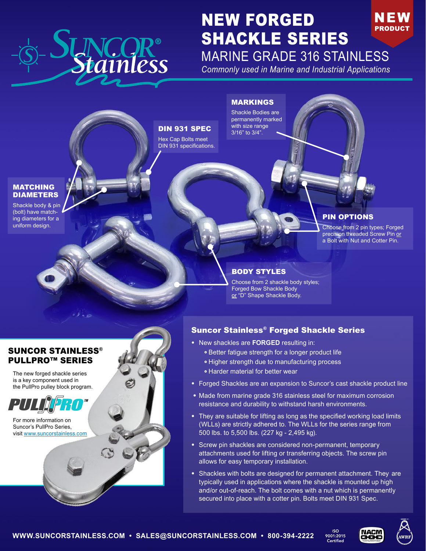

# NEW FORGED NEW **PRODUCT** SHACKLE SERIES MARINE GRADE 316 STAINLESS

*Commonly used in Marine and Industrial Applications*

## MARKINGS

Shackle Bodies are permanently marked with size range 3/16" to 3/4".

#### MATCHING DIAMETERS

Shackle body & pin (bolt) have matching diameters for a uniform design.

## DIN 931 SPEC

Hex Cap Bolts meet DIN 931 specifications.

## PIN OPTIONS

Choose from 2 pin types; Forged precision threaded Screw Pin or a Bolt with Nut and Cotter Pin.

## BODY STYLES

Choose from 2 shackle body styles; Forged Bow Shackle Body or "D" Shape Shackle Body.

## SUNCOR STAINLESS® PULLPRO™ SERIES

The new forged shackle series is a key component used in the PullPro pulley block program.



For more information on Suncor's PullPro Series, [visit www.suncorstainless.com](https://suncorstainless.com/steel-product-category/blocks/)

## Suncor Stainless® Forged Shackle Series

- New shackles are **FORGED** resulting in:
	- Better fatigue strength for a longer product life
	- Higher strength due to manufacturing process
	- Harder material for better wear
- Forged Shackles are an expansion to Suncor's cast shackle product line
- Made from marine grade 316 stainless steel for maximum corrosion resistance and durability to withstand harsh environments.
- They are suitable for lifting as long as the specified working load limits (WLLs) are strictly adhered to. The WLLs for the series range from 500 lbs. to 5,500 lbs. (227 kg - 2,495 kg).
- Screw pin shackles are considered non-permanent, temporary attachments used for lifting or transferring objects. The screw pin allows for easy temporary installation.
- Shackles with bolts are designed for permanent attachment. They are typically used in applications where the shackle is mounted up high and/or out-of-reach. The bolt comes with a nut which is permanently secured into place with a cotter pin. Bolts meet DIN 931 Spec.